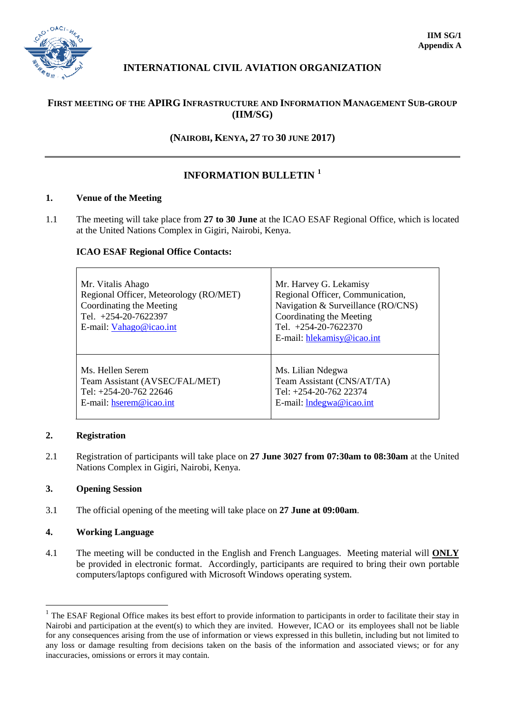

# **INTERNATIONAL CIVIL AVIATION ORGANIZATION**

## **FIRST MEETING OF THE APIRG INFRASTRUCTURE AND INFORMATION MANAGEMENT SUB-GROUP (IIM/SG)**

## **(NAIROBI, KENYA, 27 TO 30 JUNE 2017)**

## **INFORMATION BULLETIN [1](#page-0-0)**

### **1. Venue of the Meeting**

1.1 The meeting will take place from **27 to 30 June** at the ICAO ESAF Regional Office, which is located at the United Nations Complex in Gigiri, Nairobi, Kenya.

### **ICAO ESAF Regional Office Contacts:**

| Mr. Vitalis Ahago<br>Regional Officer, Meteorology (RO/MET)<br>Coordinating the Meeting<br>Tel. +254-20-7622397<br>E-mail: Vahago@icao.int | Mr. Harvey G. Lekamisy<br>Regional Officer, Communication,<br>Navigation & Surveillance (RO/CNS)<br>Coordinating the Meeting<br>Tel. $+254-20-7622370$<br>E-mail: hlekamisy@icao.int |
|--------------------------------------------------------------------------------------------------------------------------------------------|--------------------------------------------------------------------------------------------------------------------------------------------------------------------------------------|
| Ms. Hellen Serem                                                                                                                           | Ms. Lilian Ndegwa                                                                                                                                                                    |
| Team Assistant (AVSEC/FAL/MET)                                                                                                             | Team Assistant (CNS/AT/TA)                                                                                                                                                           |
| Tel: +254-20-762 22646                                                                                                                     | Tel: +254-20-762 22374                                                                                                                                                               |
| E-mail: hserem@icao.int                                                                                                                    | E-mail: Indegwa@icao.int                                                                                                                                                             |

### **2. Registration**

2.1 Registration of participants will take place on **27 June 3027 from 07:30am to 08:30am** at the United Nations Complex in Gigiri, Nairobi, Kenya.

## **3. Opening Session**

3.1 The official opening of the meeting will take place on **27 June at 09:00am**.

### **4. Working Language**

4.1 The meeting will be conducted in the English and French Languages. Meeting material will **ONLY** be provided in electronic format. Accordingly, participants are required to bring their own portable computers/laptops configured with Microsoft Windows operating system.

<span id="page-0-0"></span><sup>&</sup>lt;sup>1</sup> The ESAF Regional Office makes its best effort to provide information to participants in order to facilitate their stay in Nairobi and participation at the event(s) to which they are invited. However, ICAO or its employees shall not be liable for any consequences arising from the use of information or views expressed in this bulletin, including but not limited to any loss or damage resulting from decisions taken on the basis of the information and associated views; or for any inaccuracies, omissions or errors it may contain.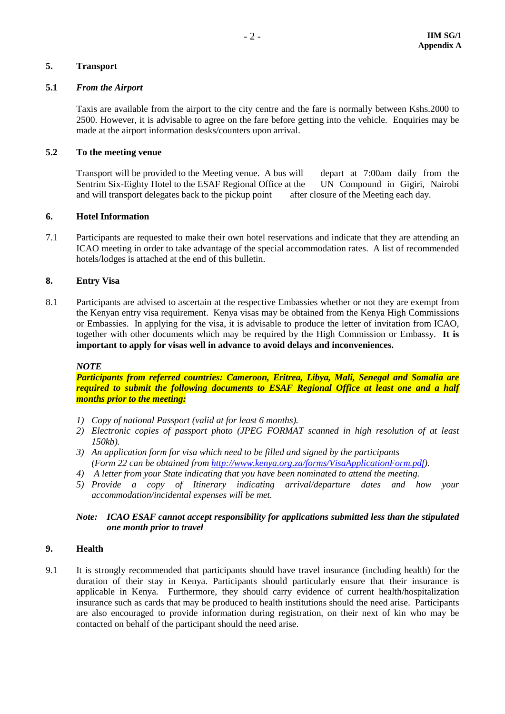### **5. Transport**

#### **5.1** *From the Airport*

Taxis are available from the airport to the city centre and the fare is normally between Kshs.2000 to 2500. However, it is advisable to agree on the fare before getting into the vehicle. Enquiries may be made at the airport information desks/counters upon arrival.

### **5.2 To the meeting venue**

Transport will be provided to the Meeting venue. A bus will depart at 7:00am daily from the Sentrim Six-Eighty Hotel to the ESAF Regional Office at the UN Compound in Gigiri, Nairobi Sentrim Six-Eighty Hotel to the ESAF Regional Office at the and will transport delegates back to the pickup point after closure of the Meeting each day.

#### **6. Hotel Information**

7.1 Participants are requested to make their own hotel reservations and indicate that they are attending an ICAO meeting in order to take advantage of the special accommodation rates. A list of recommended hotels/lodges is attached at the end of this bulletin.

### **8. Entry Visa**

8.1 Participants are advised to ascertain at the respective Embassies whether or not they are exempt from the Kenyan entry visa requirement. Kenya visas may be obtained from the Kenya High Commissions or Embassies. In applying for the visa, it is advisable to produce the letter of invitation from ICAO, together with other documents which may be required by the High Commission or Embassy. **It is important to apply for visas well in advance to avoid delays and inconveniences.**

### *NOTE*

*Participants from referred countries: Cameroon, Eritrea, Libya, Mali, Senegal and Somalia are required to submit the following documents to ESAF Regional Office at least one and a half months prior to the meeting:*

- *1) Copy of national Passport (valid at for least 6 months).*
- *2) Electronic copies of passport photo (JPEG FORMAT scanned in high resolution of at least 150kb).*
- *3) An application form for visa which need to be filled and signed by the participants (Form 22 can be obtained from [http://www.kenya.org.za/forms/VisaApplicationForm.pdf\)](http://www.kenya.org.za/forms/VisaApplicationForm.pdf).*
- *4) A letter from your State indicating that you have been nominated to attend the meeting.*
- *5) Provide a copy of Itinerary indicating arrival/departure dates and how your accommodation/incidental expenses will be met.*

## *Note: ICAO ESAF cannot accept responsibility for applications submitted less than the stipulated one month prior to travel*

### **9. Health**

9.1 It is strongly recommended that participants should have travel insurance (including health) for the duration of their stay in Kenya. Participants should particularly ensure that their insurance is applicable in Kenya. Furthermore, they should carry evidence of current health/hospitalization insurance such as cards that may be produced to health institutions should the need arise. Participants are also encouraged to provide information during registration, on their next of kin who may be contacted on behalf of the participant should the need arise.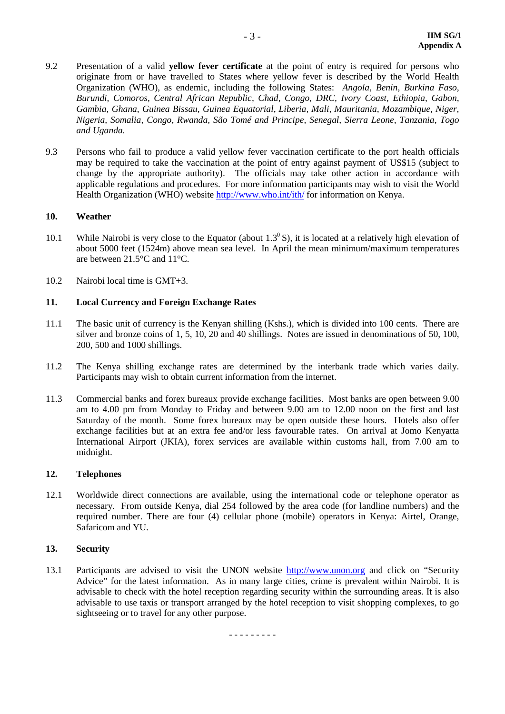- 9.2 Presentation of a valid **yellow fever certificate** at the point of entry is required for persons who originate from or have travelled to States where yellow fever is described by the World Health Organization (WHO), as endemic, including the following States: *Angola, Benin, Burkina Faso, Burundi, Comoros, Central African Republic, Chad, Congo, DRC, Ivory Coast, Ethiopia, Gabon, Gambia, Ghana, Guinea Bissau, Guinea Equatorial, Liberia, Mali, Mauritania, Mozambique, Niger, Nigeria, Somalia, Congo, Rwanda, São Tomé and Principe, Senegal, Sierra Leone, Tanzania, Togo and Uganda.*
- 9.3 Persons who fail to produce a valid yellow fever vaccination certificate to the port health officials may be required to take the vaccination at the point of entry against payment of US\$15 (subject to change by the appropriate authority). The officials may take other action in accordance with applicable regulations and procedures. For more information participants may wish to visit the World Health Organization (WHO) website <http://www.who.int/ith/> for information on Kenya.

### **10. Weather**

- 10.1 While Nairobi is very close to the Equator (about  $1.3^{\circ}$  S), it is located at a relatively high elevation of about 5000 feet (1524m) above mean sea level. In April the mean minimum/maximum temperatures are between 21.5°C and 11°C.
- 10.2 Nairobi local time is GMT+3.

#### **11. Local Currency and Foreign Exchange Rates**

- 11.1 The basic unit of currency is the Kenyan shilling (Kshs.), which is divided into 100 cents. There are silver and bronze coins of 1, 5, 10, 20 and 40 shillings. Notes are issued in denominations of 50, 100, 200, 500 and 1000 shillings.
- 11.2 The Kenya shilling exchange rates are determined by the interbank trade which varies daily. Participants may wish to obtain current information from the internet.
- 11.3 Commercial banks and forex bureaux provide exchange facilities. Most banks are open between 9.00 am to 4.00 pm from Monday to Friday and between 9.00 am to 12.00 noon on the first and last Saturday of the month. Some forex bureaux may be open outside these hours. Hotels also offer exchange facilities but at an extra fee and/or less favourable rates. On arrival at Jomo Kenyatta International Airport (JKIA), forex services are available within customs hall, from 7.00 am to midnight.

#### **12. Telephones**

12.1 Worldwide direct connections are available, using the international code or telephone operator as necessary. From outside Kenya, dial 254 followed by the area code (for landline numbers) and the required number. There are four (4) cellular phone (mobile) operators in Kenya: Airtel, Orange, Safaricom and YU.

### **13. Security**

13.1 Participants are advised to visit the UNON website [http://www.unon.org](http://www.unon.org/) and click on "Security Advice" for the latest information. As in many large cities, crime is prevalent within Nairobi. It is advisable to check with the hotel reception regarding security within the surrounding areas. It is also advisable to use taxis or transport arranged by the hotel reception to visit shopping complexes, to go sightseeing or to travel for any other purpose.

- - - - - - - - -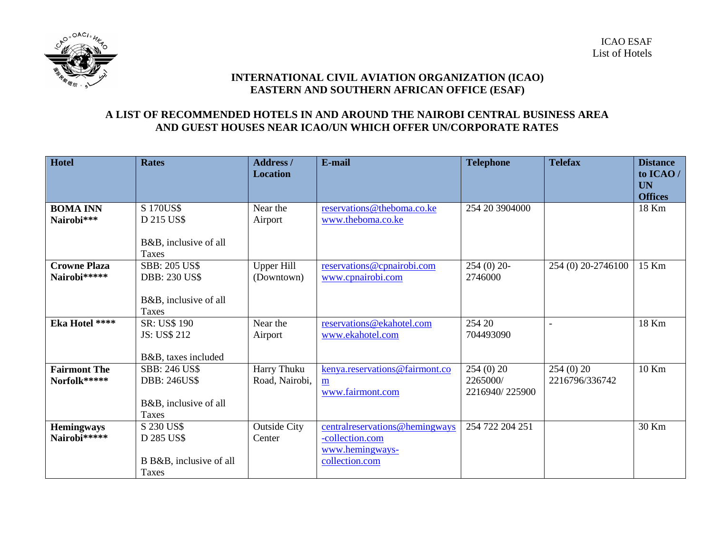

## **INTERNATIONAL CIVIL AVIATION ORGANIZATION (ICAO) EASTERN AND SOUTHERN AFRICAN OFFICE (ESAF)**

# **A LIST OF RECOMMENDED HOTELS IN AND AROUND THE NAIROBI CENTRAL BUSINESS AREA AND GUEST HOUSES NEAR ICAO/UN WHICH OFFER UN/CORPORATE RATES**

| <b>Hotel</b>        | <b>Rates</b>            | <b>Address</b> /    | E-mail                          | <b>Telephone</b> | <b>Telefax</b>     | <b>Distance</b> |
|---------------------|-------------------------|---------------------|---------------------------------|------------------|--------------------|-----------------|
|                     |                         | <b>Location</b>     |                                 |                  |                    | to ICAO/        |
|                     |                         |                     |                                 |                  |                    | <b>UN</b>       |
|                     |                         |                     |                                 |                  |                    | <b>Offices</b>  |
| <b>BOMA INN</b>     | S 170US\$               | Near the            | reservations@theboma.co.ke      | 254 20 3904000   |                    | 18 Km           |
| Nairobi***          | D 215 US\$              | Airport             | www.theboma.co.ke               |                  |                    |                 |
|                     | B&B, inclusive of all   |                     |                                 |                  |                    |                 |
|                     | Taxes                   |                     |                                 |                  |                    |                 |
| <b>Crowne Plaza</b> | <b>SBB: 205 US\$</b>    | <b>Upper Hill</b>   | reservations@cpnairobi.com      | $254(0)$ 20-     | 254 (0) 20-2746100 | 15 Km           |
| Nairobi*****        | <b>DBB: 230 US\$</b>    | (Downtown)          | www.cpnairobi.com               | 2746000          |                    |                 |
|                     |                         |                     |                                 |                  |                    |                 |
|                     | B&B, inclusive of all   |                     |                                 |                  |                    |                 |
|                     | Taxes                   |                     |                                 |                  |                    |                 |
| Eka Hotel ****      | SR: US\$ 190            | Near the            | reservations@ekahotel.com       | 254 20           |                    | 18 Km           |
|                     | JS: US\$ 212            | Airport             | www.ekahotel.com                | 704493090        |                    |                 |
|                     |                         |                     |                                 |                  |                    |                 |
|                     | B&B, taxes included     |                     |                                 |                  |                    |                 |
| <b>Fairmont The</b> | <b>SBB: 246 US\$</b>    | Harry Thuku         | kenya.reservations@fairmont.co  | 254(0)20         | 254(0)20           | 10 Km           |
| Norfolk*****        | <b>DBB: 246US\$</b>     | Road, Nairobi,      | m                               | 2265000/         | 2216796/336742     |                 |
|                     |                         |                     | www.fairmont.com                | 2216940/225900   |                    |                 |
|                     | B&B, inclusive of all   |                     |                                 |                  |                    |                 |
|                     | Taxes                   |                     |                                 |                  |                    |                 |
| <b>Hemingways</b>   | S 230 US\$              | <b>Outside City</b> | central reservations@hemingways | 254 722 204 251  |                    | 30 Km           |
| Nairobi*****        | D 285 US\$              | Center              | -collection.com                 |                  |                    |                 |
|                     |                         |                     | www.hemingways-                 |                  |                    |                 |
|                     | B B&B, inclusive of all |                     | collection.com                  |                  |                    |                 |
|                     | Taxes                   |                     |                                 |                  |                    |                 |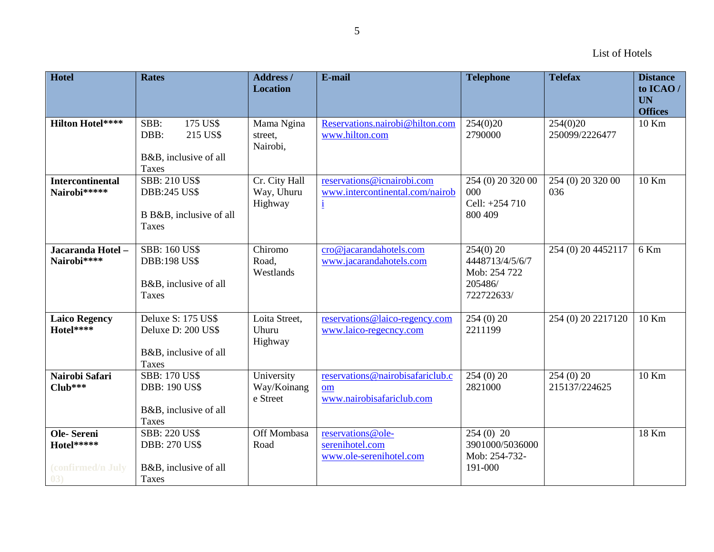| <b>Hotel</b>                                         | <b>Rates</b>                                                                      | Address /<br><b>Location</b>           | E-mail                                                                        | <b>Telephone</b>                                                        | <b>Telefax</b>             | <b>Distance</b><br>to ICAO/<br><b>UN</b><br><b>Offices</b> |
|------------------------------------------------------|-----------------------------------------------------------------------------------|----------------------------------------|-------------------------------------------------------------------------------|-------------------------------------------------------------------------|----------------------------|------------------------------------------------------------|
| <b>Hilton Hotel****</b>                              | 175 US\$<br>SBB:<br>DBB:<br>215 US\$<br>B&B, inclusive of all<br>Taxes            | Mama Ngina<br>street,<br>Nairobi,      | Reservations.nairobi@hilton.com<br>www.hilton.com                             | 254(0)20<br>2790000                                                     | 254(0)20<br>250099/2226477 | 10 Km                                                      |
| <b>Intercontinental</b><br>Nairobi*****              | <b>SBB: 210 US\$</b><br><b>DBB:245 US\$</b><br>B B&B, inclusive of all<br>Taxes   | Cr. City Hall<br>Way, Uhuru<br>Highway | reservations@icnairobi.com<br>www.intercontinental.com/nairob<br>$\mathbf{i}$ | 254 (0) 20 320 00<br>000<br>Cell: +254 710<br>800 409                   | 254 (0) 20 320 00<br>036   | 10 Km                                                      |
| Jacaranda Hotel -<br>Nairobi****                     | <b>SBB: 160 US\$</b><br><b>DBB:198 US\$</b><br>B&B, inclusive of all<br>Taxes     | Chiromo<br>Road,<br>Westlands          | cro@jacarandahotels.com<br>www.jacarandahotels.com                            | $254(0)$ 20<br>4448713/4/5/6/7<br>Mob: 254 722<br>205486/<br>722722633/ | 254 (0) 20 4452117         | 6 Km                                                       |
| <b>Laico Regency</b><br>Hotel****                    | Deluxe S: 175 US\$<br>Deluxe D: 200 US\$<br>B&B, inclusive of all<br><b>Taxes</b> | Loita Street,<br>Uhuru<br>Highway      | reservations@laico-regency.com<br>www.laico-regecncy.com                      | 254(0)20<br>2211199                                                     | 254 (0) 20 2217120         | $10$ Km                                                    |
| Nairobi Safari<br>$Club***$                          | <b>SBB: 170 US\$</b><br><b>DBB: 190 US\$</b><br>B&B, inclusive of all<br>Taxes    | University<br>Way/Koinang<br>e Street  | reservations@nairobisafariclub.c<br>om<br>www.nairobisafariclub.com           | 254(0)20<br>2821000                                                     | 254(0)20<br>215137/224625  | 10 Km                                                      |
| Ole-Sereni<br>Hotel*****<br>(confirmed/n July<br>(3) | <b>SBB: 220 US\$</b><br><b>DBB: 270 US\$</b><br>B&B, inclusive of all<br>Taxes    | Off Mombasa<br>Road                    | reservations@ole-<br>serenihotel.com<br>www.ole-serenihotel.com               | $254(0)$ 20<br>3901000/5036000<br>Mob: 254-732-<br>191-000              |                            | 18 Km                                                      |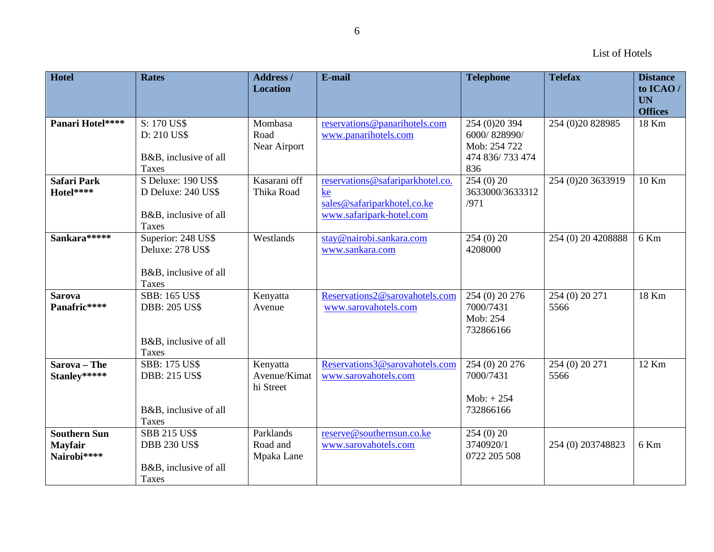| Hotel                                         | <b>Rates</b>                                                                          | Address /<br><b>Location</b>          | E-mail                                                                                            | <b>Telephone</b>                                                         | <b>Telefax</b>         | <b>Distance</b><br>to ICAO/<br><b>UN</b> |
|-----------------------------------------------|---------------------------------------------------------------------------------------|---------------------------------------|---------------------------------------------------------------------------------------------------|--------------------------------------------------------------------------|------------------------|------------------------------------------|
|                                               |                                                                                       |                                       |                                                                                                   |                                                                          |                        | <b>Offices</b>                           |
| Panari Hotel****                              | S: 170 US\$<br>D: 210 US\$<br>B&B, inclusive of all<br><b>Taxes</b>                   | Mombasa<br>Road<br>Near Airport       | reservations@panarihotels.com<br>www.panarihotels.com                                             | 254 (0) 20 394<br>6000/828990/<br>Mob: 254 722<br>474 836/733 474<br>836 | 254 (0) 20 8 289 85    | 18 Km                                    |
| <b>Safari Park</b><br>Hotel****               | S Deluxe: 190 US\$<br>D Deluxe: 240 US\$<br>B&B, inclusive of all<br>Taxes            | Kasarani off<br>Thika Road            | reservations@safariparkhotel.co.<br>ke<br>sales@safariparkhotel.co.ke<br>www.safaripark-hotel.com | 254(0)20<br>3633000/3633312<br>/971                                      | 254 (0) 20 3633919     | 10 Km                                    |
| Sankara *****                                 | Superior: 248 US\$<br>Deluxe: 278 US\$<br>B&B, inclusive of all<br><b>Taxes</b>       | Westlands                             | stay@nairobi.sankara.com<br>www.sankara.com                                                       | 254(0)20<br>4208000                                                      | 254 (0) 20 4208888     | 6 Km                                     |
| <b>Sarova</b><br>Panafric****                 | <b>SBB: 165 US\$</b><br><b>DBB: 205 US\$</b><br>B&B, inclusive of all<br><b>Taxes</b> | Kenyatta<br>Avenue                    | Reservations2@sarovahotels.com<br>www.sarovahotels.com                                            | 254 (0) 20 276<br>7000/7431<br>Mob: 254<br>732866166                     | 254 (0) 20 271<br>5566 | 18 Km                                    |
| Sarova - The<br>Stanley*****                  | <b>SBB: 175 US\$</b><br><b>DBB: 215 US\$</b><br>B&B, inclusive of all<br><b>Taxes</b> | Kenyatta<br>Avenue/Kimat<br>hi Street | Reservations3@sarovahotels.com<br>www.sarovahotels.com                                            | 254 (0) 20 276<br>7000/7431<br>$Mob: + 254$<br>732866166                 | 254 (0) 20 271<br>5566 | $12$ Km                                  |
| <b>Southern Sun</b><br>Mayfair<br>Nairobi**** | <b>SBB 215 US\$</b><br><b>DBB 230 US\$</b><br>B&B, inclusive of all<br>Taxes          | Parklands<br>Road and<br>Mpaka Lane   | reserve@southernsun.co.ke<br>www.sarovahotels.com                                                 | 254(0)20<br>3740920/1<br>0722 205 508                                    | 254 (0) 203748823      | 6 Km                                     |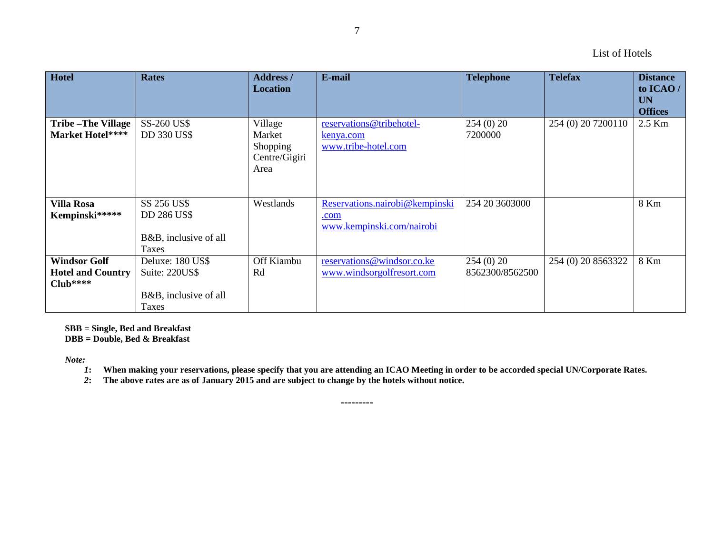| Hotel                                                         | <b>Rates</b>                                                                | <b>Address</b> /<br><b>Location</b>                    | E-mail                                                              | <b>Telephone</b>            | <b>Telefax</b>     | <b>Distance</b><br>to ICAO/<br><b>UN</b><br><b>Offices</b> |
|---------------------------------------------------------------|-----------------------------------------------------------------------------|--------------------------------------------------------|---------------------------------------------------------------------|-----------------------------|--------------------|------------------------------------------------------------|
| <b>Tribe-The Village</b><br>Market Hotel****                  | SS-260 US\$<br><b>DD 330 US\$</b>                                           | Village<br>Market<br>Shopping<br>Centre/Gigiri<br>Area | reservations@tribehotel-<br>kenya.com<br>www.tribe-hotel.com        | 254(0)20<br>7200000         | 254 (0) 20 7200110 | 2.5 Km                                                     |
| <b>Villa Rosa</b><br>Kempinski*****                           | SS 256 US\$<br><b>DD 286 US\$</b><br>B&B, inclusive of all<br><b>Taxes</b>  | Westlands                                              | Reservations.nairobi@kempinski<br>.com<br>www.kempinski.com/nairobi | 254 20 3603000              |                    | 8 Km                                                       |
| <b>Windsor Golf</b><br><b>Hotel and Country</b><br>$Club****$ | Deluxe: 180 US\$<br>Suite: 220US\$<br>B&B, inclusive of all<br><b>Taxes</b> | Off Kiambu<br>Rd                                       | reservations@windsor.co.ke<br>www.windsorgolfresort.com             | 254(0)20<br>8562300/8562500 | 254 (0) 20 8563322 | 8 Km                                                       |

**SBB = Single, Bed and Breakfast**

**DBB = Double, Bed & Breakfast**

*Note:*

*1***: When making your reservations, please specify that you are attending an ICAO Meeting in order to be accorded special UN/Corporate Rates.** 

*2***: The above rates are as of January 2015 and are subject to change by the hotels without notice.**

7

**---------**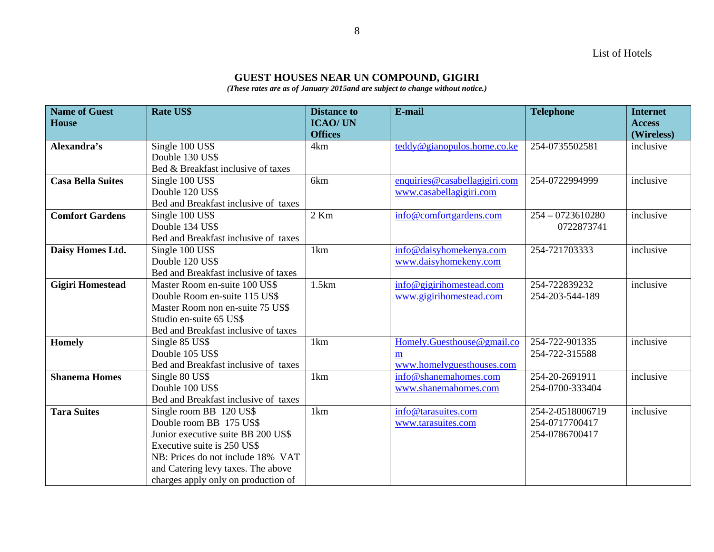List of Hotels

# **GUEST HOUSES NEAR UN COMPOUND, GIGIRI**

*(These rates are as of January 2015and are subject to change without notice.)*

| <b>Name of Guest</b>     | <b>Rate US\$</b>                     | <b>Distance to</b> | E-mail                        | <b>Telephone</b>   | <b>Internet</b> |
|--------------------------|--------------------------------------|--------------------|-------------------------------|--------------------|-----------------|
| <b>House</b>             |                                      | <b>ICAO/UN</b>     |                               |                    | <b>Access</b>   |
|                          |                                      | <b>Offices</b>     |                               |                    | (Wireless)      |
| Alexandra's              | Single 100 US\$                      | 4km                | teddy@gianopulos.home.co.ke   | 254-0735502581     | inclusive       |
|                          | Double 130 US\$                      |                    |                               |                    |                 |
|                          | Bed & Breakfast inclusive of taxes   |                    |                               |                    |                 |
| <b>Casa Bella Suites</b> | Single 100 US\$                      | 6km                | enquiries@casabellagigiri.com | 254-0722994999     | inclusive       |
|                          | Double 120 US\$                      |                    | www.casabellagigiri.com       |                    |                 |
|                          | Bed and Breakfast inclusive of taxes |                    |                               |                    |                 |
| <b>Comfort Gardens</b>   | Single 100 US\$                      | $2$ Km             | info@comfortgardens.com       | $254 - 0723610280$ | inclusive       |
|                          | Double 134 US\$                      |                    |                               | 0722873741         |                 |
|                          | Bed and Breakfast inclusive of taxes |                    |                               |                    |                 |
| Daisy Homes Ltd.         | Single 100 US\$                      | 1km                | info@daisyhomekenya.com       | 254-721703333      | inclusive       |
|                          | Double 120 US\$                      |                    | www.daisyhomekeny.com         |                    |                 |
|                          | Bed and Breakfast inclusive of taxes |                    |                               |                    |                 |
| <b>Gigiri Homestead</b>  | Master Room en-suite 100 US\$        | 1.5km              | info@gigirihomestead.com      | 254-722839232      | inclusive       |
|                          | Double Room en-suite 115 US\$        |                    | www.gigirihomestead.com       | 254-203-544-189    |                 |
|                          | Master Room non en-suite 75 US\$     |                    |                               |                    |                 |
|                          | Studio en-suite 65 US\$              |                    |                               |                    |                 |
|                          | Bed and Breakfast inclusive of taxes |                    |                               |                    |                 |
| <b>Homely</b>            | Single 85 US\$                       | 1km                | Homely.Guesthouse@gmail.co    | 254-722-901335     | inclusive       |
|                          | Double 105 US\$                      |                    | m                             | 254-722-315588     |                 |
|                          | Bed and Breakfast inclusive of taxes |                    | www.homelyguesthouses.com     |                    |                 |
| <b>Shanema Homes</b>     | Single 80 US\$                       | 1km                | info@shanemahomes.com         | 254-20-2691911     | inclusive       |
|                          | Double 100 US\$                      |                    | www.shanemahomes.com          | 254-0700-333404    |                 |
|                          | Bed and Breakfast inclusive of taxes |                    |                               |                    |                 |
| <b>Tara Suites</b>       | Single room BB 120 US\$              | 1km                | info@tarasuites.com           | 254-2-0518006719   | inclusive       |
|                          | Double room BB 175 US\$              |                    | www.tarasuites.com            | 254-0717700417     |                 |
|                          | Junior executive suite BB 200 US\$   |                    |                               | 254-0786700417     |                 |
|                          | Executive suite is 250 US\$          |                    |                               |                    |                 |
|                          | NB: Prices do not include 18% VAT    |                    |                               |                    |                 |
|                          | and Catering levy taxes. The above   |                    |                               |                    |                 |
|                          | charges apply only on production of  |                    |                               |                    |                 |